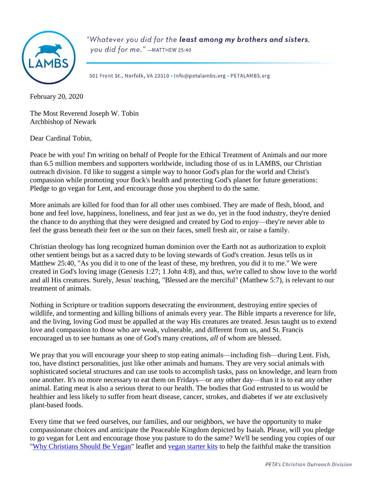

"Whatever you did for the least among my brothers and sisters, you did for me." -MATTHEW 25:40

501 Front St., Norfolk, VA 23510 . Info@petalambs.org . PETALAMBS.org

February 20, 2020

The Most Reverend Joseph W. Tobin Archbishop of Newark

Dear Cardinal Tobin,

Peace be with you! I'm writing on behalf of People for the Ethical Treatment of Animals and our more than 6.5 million members and supporters worldwide, including those of us in LAMBS, our Christian outreach division. I'd like to suggest a simple way to honor God's plan for the world and Christ's compassion while promoting your flock's health and protecting God's planet for future generations: Pledge to go vegan for Lent, and encourage those you shepherd to do the same.

More animals are killed for food than for all other uses combined. They are made of flesh, blood, and bone and feel love, happiness, loneliness, and fear just as we do, yet in the food industry, they're denied the chance to do anything that they were designed and created by God to enjoy—they're never able to feel the grass beneath their feet or the sun on their faces, smell fresh air, or raise a family.

Christian theology has long recognized human dominion over the Earth not as authorization to exploit other sentient beings but as a sacred duty to be loving stewards of God's creation. Jesus tells us in Matthew 25:40, "As you did it to one of the least of these, my brethren, you did it to me." We were created in God's loving image (Genesis 1:27; 1 John 4:8), and thus, we're called to show love to the world and all His creatures. Surely, Jesus' teaching, "Blessed are the merciful" (Matthew 5:7), is relevant to our treatment of animals.

Nothing in Scripture or tradition supports desecrating the environment, destroying entire species of wildlife, and tormenting and killing billions of animals every year. The Bible imparts a reverence for life, and the living, loving God must be appalled at the way His creatures are treated. Jesus taught us to extend love and compassion to those who are weak, vulnerable, and different from us, and St. Francis encouraged us to see humans as one of God's many creations, *all* of whom are blessed.

We pray that you will encourage your sheep to stop eating animals—including fish—during Lent. Fish, too, have distinct personalities, just like other animals and humans. They are very social animals with sophisticated societal structures and can use tools to accomplish tasks, pass on knowledge, and learn from one another. It's no more necessary to eat them on Fridays—or any other day—than it is to eat any other animal. Eating meat is also a serious threat to our health. The bodies that God entrusted to us would be healthier and less likely to suffer from heart disease, cancer, strokes, and diabetes if we ate exclusively plant-based foods.

Every time that we feed ourselves, our families, and our neighbors, we have the opportunity to make compassionate choices and anticipate the Peaceable Kingdom depicted by Isaiah. Please, will you pledge to go vegan for Lent and encourage those you pasture to do the same? We'll be sending you copies of our ["Why Christians Should Be Vegan"](https://www.petaliterature.com/literature/whychristiansshouldbeveganleaflet/) leaflet and [vegan starter kits](http://www.peta.org/living/food/free-vegan-starter-kit-3/) to help the faithful make the transition